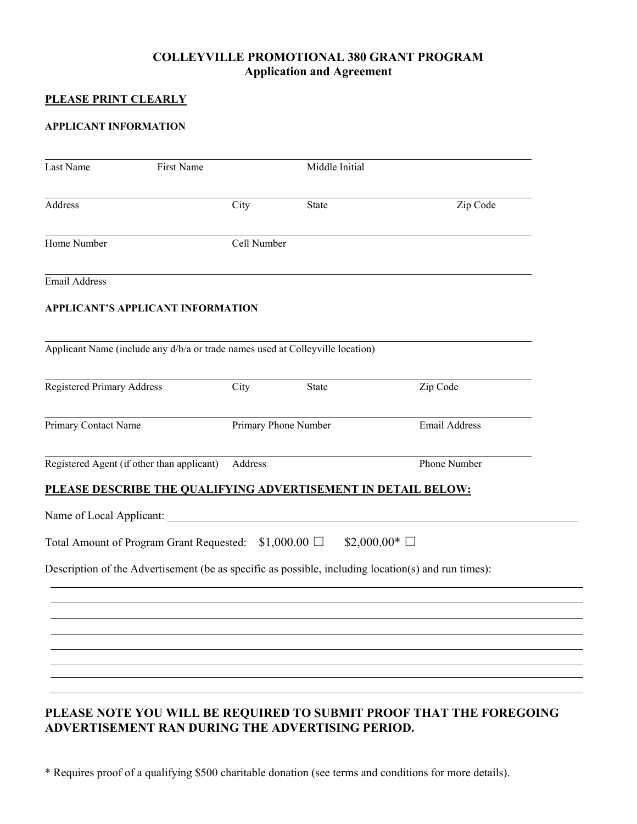## **COLLEYVILLE PROMOTIONAL 380 GRANT PROGRAM Application and Agreement**

### **PLEASE PRINT CLEARLY**

#### **APPLICANT INFORMATION**

| Last Name                         | First Name                                                                     | Middle Initial       |              |                                                                                                     |  |
|-----------------------------------|--------------------------------------------------------------------------------|----------------------|--------------|-----------------------------------------------------------------------------------------------------|--|
| Address                           |                                                                                | City                 | <b>State</b> | Zip Code                                                                                            |  |
| Home Number                       |                                                                                | Cell Number          |              |                                                                                                     |  |
| <b>Email Address</b>              |                                                                                |                      |              |                                                                                                     |  |
|                                   | <b>APPLICANT'S APPLICANT INFORMATION</b>                                       |                      |              |                                                                                                     |  |
|                                   | Applicant Name (include any d/b/a or trade names used at Colleyville location) |                      |              |                                                                                                     |  |
| <b>Registered Primary Address</b> |                                                                                | City<br>State        |              | Zip Code                                                                                            |  |
| Primary Contact Name              |                                                                                | Primary Phone Number |              | Email Address                                                                                       |  |
|                                   | Registered Agent (if other than applicant)                                     | Address              |              | Phone Number                                                                                        |  |
|                                   |                                                                                |                      |              | PLEASE DESCRIBE THE QUALIFYING ADVERTISEMENT IN DETAIL BELOW:                                       |  |
| Name of Local Applicant:          |                                                                                |                      |              |                                                                                                     |  |
|                                   | Total Amount of Program Grant Requested: $$1,000.00$ $\square$                 |                      |              | $$2,000.00*$                                                                                        |  |
|                                   |                                                                                |                      |              | Description of the Advertisement (be as specific as possible, including location(s) and run times): |  |
|                                   |                                                                                |                      |              |                                                                                                     |  |
|                                   |                                                                                |                      |              |                                                                                                     |  |
|                                   |                                                                                |                      |              |                                                                                                     |  |
|                                   |                                                                                |                      |              |                                                                                                     |  |
|                                   |                                                                                |                      |              |                                                                                                     |  |

**ADVERTISEMENT RAN DURING THE ADVERTISING PERIOD.** 

\* Requires proof of a qualifying \$500 charitable donation (see terms and conditions for more details).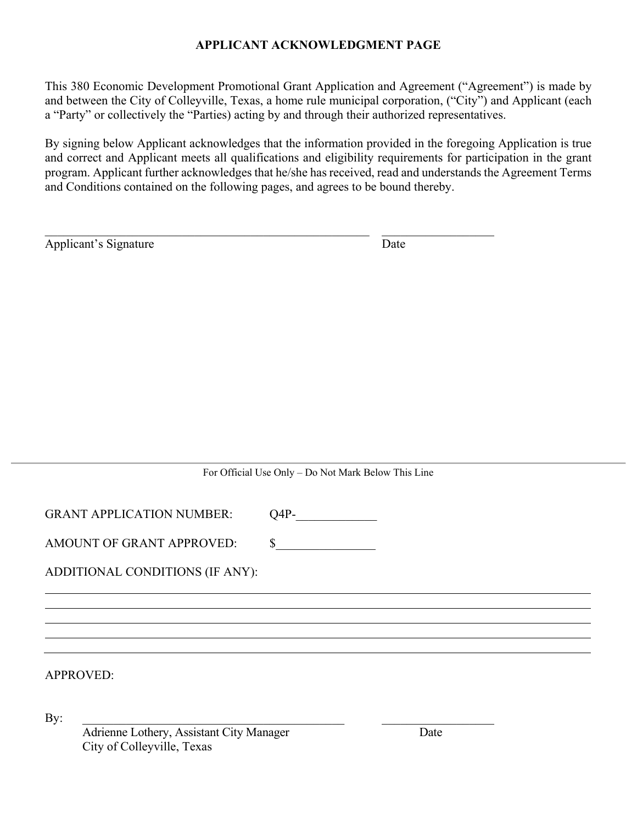# **APPLICANT ACKNOWLEDGMENT PAGE**

This 380 Economic Development Promotional Grant Application and Agreement ("Agreement") is made by and between the City of Colleyville, Texas, a home rule municipal corporation, ("City") and Applicant (each a "Party" or collectively the "Parties) acting by and through their authorized representatives.

By signing below Applicant acknowledges that the information provided in the foregoing Application is true and correct and Applicant meets all qualifications and eligibility requirements for participation in the grant program. Applicant further acknowledges that he/she has received, read and understands the Agreement Terms and Conditions contained on the following pages, and agrees to be bound thereby.

| Applicant's Signature | Date |
|-----------------------|------|
|-----------------------|------|

## For Official Use Only – Do Not Mark Below This Line

GRANT APPLICATION NUMBER: Q4P-

AMOUNT OF GRANT APPROVED: \$

ADDITIONAL CONDITIONS (IF ANY):

APPROVED:

 $\mathbf{By:}$ 

Adrienne Lothery, Assistant City Manager Date City of Colleyville, Texas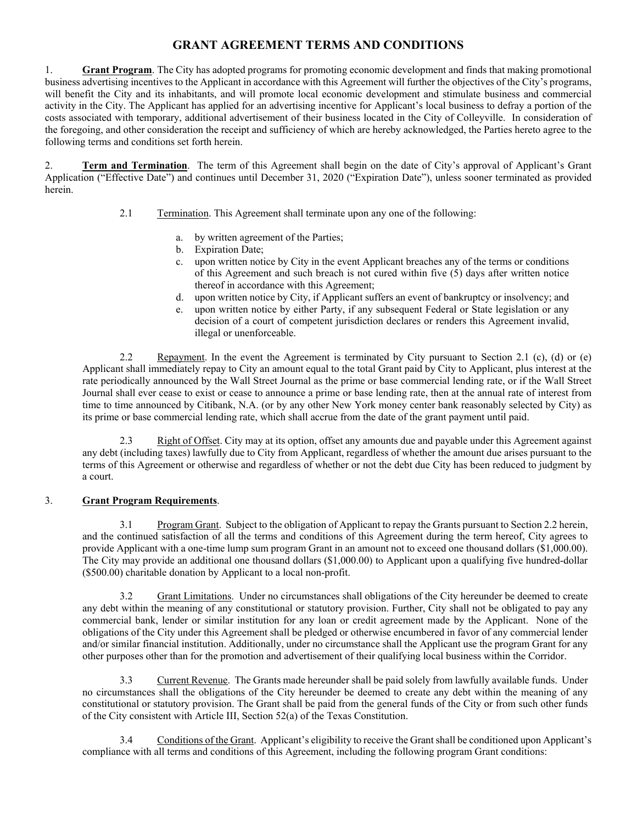## **GRANT AGREEMENT TERMS AND CONDITIONS**

1. **Grant Program**. The City has adopted programs for promoting economic development and finds that making promotional business advertising incentives to the Applicant in accordance with this Agreement will further the objectives of the City's programs, will benefit the City and its inhabitants, and will promote local economic development and stimulate business and commercial activity in the City. The Applicant has applied for an advertising incentive for Applicant's local business to defray a portion of the costs associated with temporary, additional advertisement of their business located in the City of Colleyville. In consideration of the foregoing, and other consideration the receipt and sufficiency of which are hereby acknowledged, the Parties hereto agree to the following terms and conditions set forth herein.

2. **Term and Termination**. The term of this Agreement shall begin on the date of City's approval of Applicant's Grant Application ("Effective Date") and continues until December 31, 2020 ("Expiration Date"), unless sooner terminated as provided herein.

- 2.1 Termination. This Agreement shall terminate upon any one of the following:
	- a. by written agreement of the Parties;
	- b. Expiration Date;
	- c. upon written notice by City in the event Applicant breaches any of the terms or conditions of this Agreement and such breach is not cured within five (5) days after written notice thereof in accordance with this Agreement;
	- d. upon written notice by City, if Applicant suffers an event of bankruptcy or insolvency; and
	- e. upon written notice by either Party, if any subsequent Federal or State legislation or any decision of a court of competent jurisdiction declares or renders this Agreement invalid, illegal or unenforceable.

 2.2 Repayment. In the event the Agreement is terminated by City pursuant to Section 2.1 (c), (d) or (e) Applicant shall immediately repay to City an amount equal to the total Grant paid by City to Applicant, plus interest at the rate periodically announced by the Wall Street Journal as the prime or base commercial lending rate, or if the Wall Street Journal shall ever cease to exist or cease to announce a prime or base lending rate, then at the annual rate of interest from time to time announced by Citibank, N.A. (or by any other New York money center bank reasonably selected by City) as its prime or base commercial lending rate, which shall accrue from the date of the grant payment until paid.

2.3 Right of Offset. City may at its option, offset any amounts due and payable under this Agreement against any debt (including taxes) lawfully due to City from Applicant, regardless of whether the amount due arises pursuant to the terms of this Agreement or otherwise and regardless of whether or not the debt due City has been reduced to judgment by a court.

#### 3. **Grant Program Requirements**.

 3.1 Program Grant. Subject to the obligation of Applicant to repay the Grants pursuant to Section 2.2 herein, and the continued satisfaction of all the terms and conditions of this Agreement during the term hereof, City agrees to provide Applicant with a one-time lump sum program Grant in an amount not to exceed one thousand dollars (\$1,000.00). The City may provide an additional one thousand dollars (\$1,000.00) to Applicant upon a qualifying five hundred-dollar (\$500.00) charitable donation by Applicant to a local non-profit.

 3.2 Grant Limitations. Under no circumstances shall obligations of the City hereunder be deemed to create any debt within the meaning of any constitutional or statutory provision. Further, City shall not be obligated to pay any commercial bank, lender or similar institution for any loan or credit agreement made by the Applicant. None of the obligations of the City under this Agreement shall be pledged or otherwise encumbered in favor of any commercial lender and/or similar financial institution. Additionally, under no circumstance shall the Applicant use the program Grant for any other purposes other than for the promotion and advertisement of their qualifying local business within the Corridor.

 3.3 Current Revenue. The Grants made hereunder shall be paid solely from lawfully available funds. Under no circumstances shall the obligations of the City hereunder be deemed to create any debt within the meaning of any constitutional or statutory provision. The Grant shall be paid from the general funds of the City or from such other funds of the City consistent with Article III, Section 52(a) of the Texas Constitution.

 3.4 Conditions of the Grant. Applicant's eligibility to receive the Grant shall be conditioned upon Applicant's compliance with all terms and conditions of this Agreement, including the following program Grant conditions: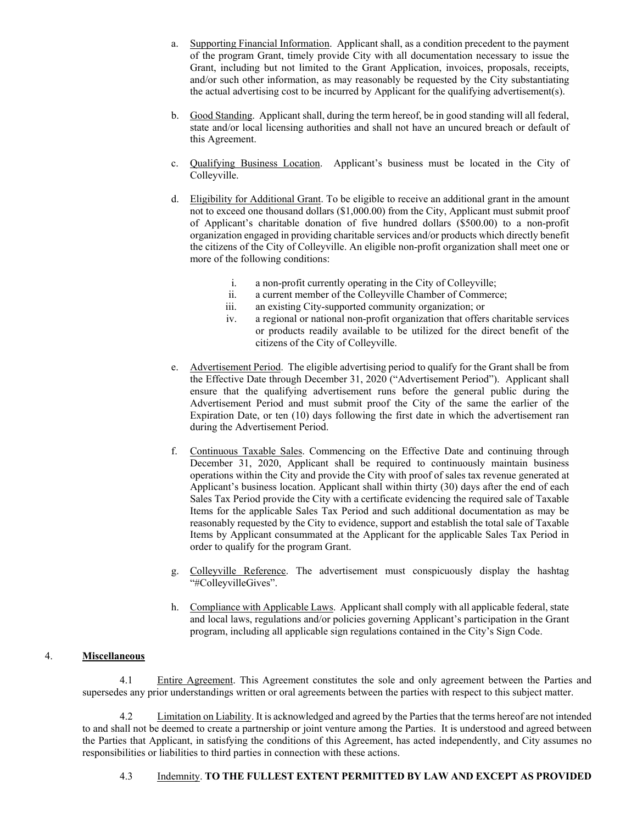- a. Supporting Financial Information. Applicant shall, as a condition precedent to the payment of the program Grant, timely provide City with all documentation necessary to issue the Grant, including but not limited to the Grant Application, invoices, proposals, receipts, and/or such other information, as may reasonably be requested by the City substantiating the actual advertising cost to be incurred by Applicant for the qualifying advertisement(s).
- b. Good Standing. Applicant shall, during the term hereof, be in good standing will all federal, state and/or local licensing authorities and shall not have an uncured breach or default of this Agreement.
- c. Qualifying Business Location. Applicant's business must be located in the City of Colleyville.
- d. Eligibility for Additional Grant. To be eligible to receive an additional grant in the amount not to exceed one thousand dollars (\$1,000.00) from the City, Applicant must submit proof of Applicant's charitable donation of five hundred dollars (\$500.00) to a non-profit organization engaged in providing charitable services and/or products which directly benefit the citizens of the City of Colleyville. An eligible non-profit organization shall meet one or more of the following conditions:
	- i. a non-profit currently operating in the City of Colleyville;
	- ii. a current member of the Colleyville Chamber of Commerce;
	- iii. an existing City-supported community organization; or
	- iv. a regional or national non-profit organization that offers charitable services or products readily available to be utilized for the direct benefit of the citizens of the City of Colleyville.
- e. Advertisement Period. The eligible advertising period to qualify for the Grant shall be from the Effective Date through December 31, 2020 ("Advertisement Period"). Applicant shall ensure that the qualifying advertisement runs before the general public during the Advertisement Period and must submit proof the City of the same the earlier of the Expiration Date, or ten (10) days following the first date in which the advertisement ran during the Advertisement Period.
- f. Continuous Taxable Sales. Commencing on the Effective Date and continuing through December 31, 2020, Applicant shall be required to continuously maintain business operations within the City and provide the City with proof of sales tax revenue generated at Applicant's business location. Applicant shall within thirty (30) days after the end of each Sales Tax Period provide the City with a certificate evidencing the required sale of Taxable Items for the applicable Sales Tax Period and such additional documentation as may be reasonably requested by the City to evidence, support and establish the total sale of Taxable Items by Applicant consummated at the Applicant for the applicable Sales Tax Period in order to qualify for the program Grant.
- g. Colleyville Reference. The advertisement must conspicuously display the hashtag "#ColleyvilleGives".
- h. Compliance with Applicable Laws. Applicant shall comply with all applicable federal, state and local laws, regulations and/or policies governing Applicant's participation in the Grant program, including all applicable sign regulations contained in the City's Sign Code.

#### 4. **Miscellaneous**

 4.1 Entire Agreement. This Agreement constitutes the sole and only agreement between the Parties and supersedes any prior understandings written or oral agreements between the parties with respect to this subject matter.

 4.2 Limitation on Liability. It is acknowledged and agreed by the Parties that the terms hereof are not intended to and shall not be deemed to create a partnership or joint venture among the Parties. It is understood and agreed between the Parties that Applicant, in satisfying the conditions of this Agreement, has acted independently, and City assumes no responsibilities or liabilities to third parties in connection with these actions.

#### 4.3 Indemnity. **TO THE FULLEST EXTENT PERMITTED BY LAW AND EXCEPT AS PROVIDED**